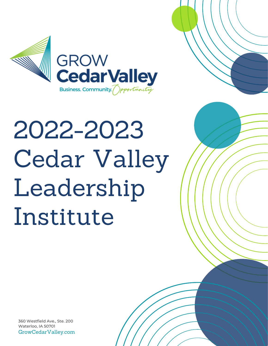

# 2022-2023 Cedar Valley Leadership Institute

GrowCedarValley.com 360 Westfield Ave., Ste. 200 Waterloo, IA 50701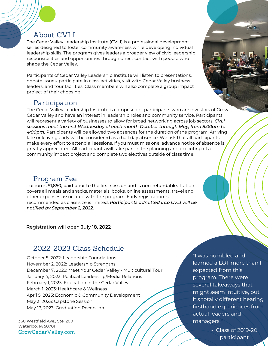### About CVLI

The Cedar Valley Leadership Institute (CVLI) is a professional development series designed to foster community awareness while developing individual leadership skills. The program gives leaders a broader view of civic leadership responsibilities and opportunities through direct contact with people who shape the Cedar Valley.

Participants of Cedar Valley Leadership Institute will listen to presentations, debate issues, participate in class activities, visit with Cedar Valley business leaders, and tour facilities. Class members will also complete a group impact project of their choosing.

#### Participation

The Cedar Valley Leadership Institute is comprised of participants who are investors of Grow Cedar Valley and have an interest in leadership roles and community service. Participants will represent a variety of businesses to allow for broad networking across job sectors. *CVLI sessions meet the first Wednesday of each month October through May, from 8:00am to 4:00pm.* Participants will be allowed two absences for the duration of the program. Arriving late or leaving early will be considered as a half day absence. We ask that all participants make every effort to attend all sessions. If you must miss one, advance notice of absence is greatly appreciated. All participants will take part in the planning and executing of a community impact project and complete two electives outside of class time.

#### Program Fee

Tuition is \$1,850, paid prior to the first session and is non-refundable. Tuition covers all meals and snacks, materials, books, online assessments, travel and other expenses associated with the program. Early registration is recommended as class size is limited. *Participants admitted into CVLI will be notified by September 2, 2022.*

Registration will open July 18, 2022

#### 2022-2023 Class Schedule

October 5, 2022: Leadership Foundations November 2, 2022: Leadership Strengths December 7, 2022: Meet Your Cedar Valley - Multicultural Tour January 4, 2023: Political Leadership/Media Relations February 1, 2023: Education in the Cedar Valley March 1, 2023: Healthcare & Wellness April 5, 2023: Economic & Community Development May 3, 2023: Capstone Session May 17, 2023: Graduation Reception

GrowCedarValley.com 360 Westfield Ave., Ste. 200 Waterloo, IA 50701

"I was humbled and learned a LOT more than I expected from this program. There were several takeaways that might seem intuitive, but it's totally different hearing firsthand experiences from actual leaders and managers."

> - Class of 2019-20 participant